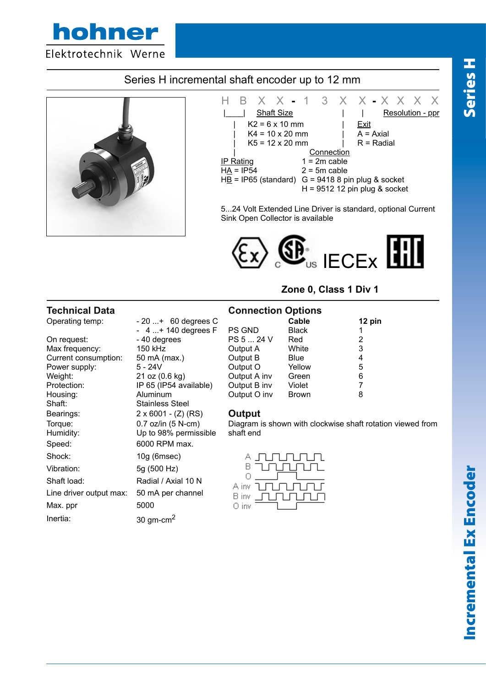

# Series H incremental shaft encoder up to 12 mm



Line driver output max: 50 mA per channel

Max. ppr 5000

Inertia:  $30 \text{ gm-cm}^2$ 



5...24 Volt Extended Line Driver is standard, optional Current Sink Open Collector is available



## **Zone 0, Class 1 Div 1**

| <b>Technical Data</b> |                            | <b>Connection Options</b>                                  |              |        |
|-----------------------|----------------------------|------------------------------------------------------------|--------------|--------|
| Operating temp:       | $-20+ 60$ degrees C        |                                                            | Cable        | 12 pin |
|                       | $-4+140$ degrees F         | <b>PS GND</b>                                              | <b>Black</b> |        |
| On request:           | - 40 degrees               | PS 5  24 V                                                 | Red          | 2      |
| Max frequency:        | 150 kHz                    | Output A                                                   | White        | 3      |
| Current consumption:  | 50 mA (max.)               | Output B                                                   | <b>Blue</b>  | 4      |
| Power supply:         | $5 - 24V$                  | Output O                                                   | Yellow       | 5      |
| Weight:               | 21 oz (0.6 kg)             | Output A inv                                               | Green        | 6      |
| Protection:           | IP 65 (IP54 available)     | Output B inv                                               | Violet       |        |
| Housing:              | Aluminum                   | Output O inv                                               | <b>Brown</b> | 8      |
| Shaft:                | <b>Stainless Steel</b>     |                                                            |              |        |
| Bearings:             | $2 \times 6001 - (Z) (RS)$ | Output                                                     |              |        |
| Torque:               | 0.7 oz/in (5 N-cm)         | Diagram is shown with clockwise shaft rotation viewed from |              |        |
| Humidity:             | Up to 98% permissible      | shaft end                                                  |              |        |
| Speed:                | 6000 RPM max.              |                                                            |              |        |
| Shock:                | $10g$ (6msec)              |                                                            |              |        |
| Vibration:            | 5g (500 Hz)                | в                                                          |              |        |
| Shaft load:           | Radial / Axial 10 N        |                                                            |              |        |
|                       |                            | A inv                                                      |              |        |

 $B$  inv  $\Pi$   $\Pi$   $\Pi$   $\Pi$   $\Pi$ 

O inv

Incremental Ex Encoder Series H Incremental Ex Encoder